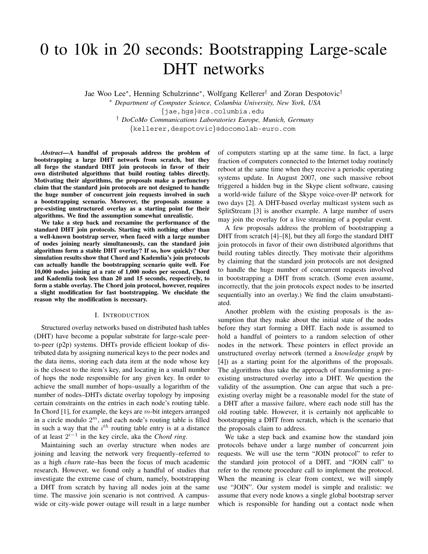# 0 to 10k in 20 seconds: Bootstrapping Large-scale DHT networks

Jae Woo Lee∗, Henning Schulzrinne∗, Wolfgang Kellerer† and Zoran Despotovic†

∗ *Department of Computer Science, Columbia University, New York, USA {*jae,hgs*}*@cs.columbia.edu † *DoCoMo Communications Laboratories Europe, Munich, Germany*

*{*kellerer,despotovic*}*@docomolab-euro.com

*Abstract***—A handful of proposals address the problem of bootstrapping a large DHT network from scratch, but they all forgo the standard DHT join protocols in favor of their own distributed algorithms that build routing tables directly. Motivating their algorithms, the proposals make a perfunctory claim that the standard join protocols are not designed to handle the huge number of concurrent join requests involved in such a bootstrapping scenario. Moreover, the proposals assume a pre-existing unstructured overlay as a starting point for their algorithms. We find the assumption somewhat unrealistic.**

**We take a step back and reexamine the performance of the standard DHT join protocols. Starting with nothing other than a well-known bootstrap server, when faced with a large number of nodes joining nearly simultaneously, can the standard join algorithms form a stable DHT overlay? If so, how quickly? Our simulation results show that Chord and Kademlia's join protocols can actually handle the bootstrapping scenario quite well. For 10,000 nodes joining at a rate of 1,000 nodes per second, Chord and Kademlia took less than 20 and 15 seconds, respectively, to form a stable overlay. The Chord join protocol, however, requires a slight modification for fast bootstrapping. We elucidate the reason why the modification is necessary.**

#### I. INTRODUCTION

Structured overlay networks based on distributed hash tables (DHT) have become a popular substrate for large-scale peerto-peer (p2p) systems. DHTs provide efficient lookup of distributed data by assigning numerical keys to the peer nodes and the data items, storing each data item at the node whose key is the closest to the item's key, and locating in a small number of hops the node responsible for any given key. In order to achieve the small number of hops–usually a logarithm of the number of nodes–DHTs dictate overlay topology by imposing certain constraints on the entries in each node's routing table. In Chord  $[1]$ , for example, the keys are *m*-bit integers arranged in a circle modulo  $2^m$ , and each node's routing table is filled<br>in such a way that the  $i^{th}$  routing table entry is at a distance of at least 2*<sup>i</sup>−*<sup>1</sup> in the key circle, aka the *Chord ring*.

Maintaining such an overlay structure when nodes are joining and leaving the network very frequently–referred to as a high *churn* rate–has been the focus of much academic research. However, we found only a handful of studies that investigate the extreme case of churn, namely, bootstrapping a DHT from scratch by having all nodes join at the same time. The massive join scenario is not contrived. A campuswide or city-wide power outage will result in a large number of computers starting up at the same time. In fact, a large fraction of computers connected to the Internet today routinely reboot at the same time when they receive a periodic operating systems update. In August 2007, one such massive reboot triggered a hidden bug in the Skype client software, causing a world-wide failure of the Skype voice-over-IP network for two days [2]. A DHT-based overlay multicast system such as SplitStream [3] is another example. A large number of users may join the overlay for a live streaming of a popular event.

A few proposals address the problem of bootstrapping a DHT from scratch [4]–[8], but they all forgo the standard DHT join protocols in favor of their own distributed algorithms that build routing tables directly. They motivate their algorithms by claiming that the standard join protocols are not designed to handle the huge number of concurrent requests involved in bootstrapping a DHT from scratch. (Some even assume, incorrectly, that the join protocols expect nodes to be inserted sequentially into an overlay.) We find the claim unsubstantiated.

Another problem with the existing proposals is the assumption that they make about the initial state of the nodes before they start forming a DHT. Each node is assumed to hold a handful of pointers to a random selection of other nodes in the network. These pointers in effect provide an unstructured overlay network (termed a *knowledge graph* by [4]) as a starting point for the algorithms of the proposals. The algorithms thus take the approach of transforming a preexisting unstructured overlay into a DHT. We question the validity of the assumption. One can argue that such a preexisting overlay might be a reasonable model for the state of a DHT after a massive failure, where each node still has the old routing table. However, it is certainly not applicable to bootstrapping a DHT from scratch, which is the scenario that the proposals claim to address.

We take a step back and examine how the standard join protocols behave under a large number of concurrent join requests. We will use the term "JOIN protocol" to refer to the standard join protocol of a DHT, and "JOIN call" to refer to the remote procedure call to implement the protocol. When the meaning is clear from context, we will simply use "JOIN". Our system model is simple and realistic: we assume that every node knows a single global bootstrap server which is responsible for handing out a contact node when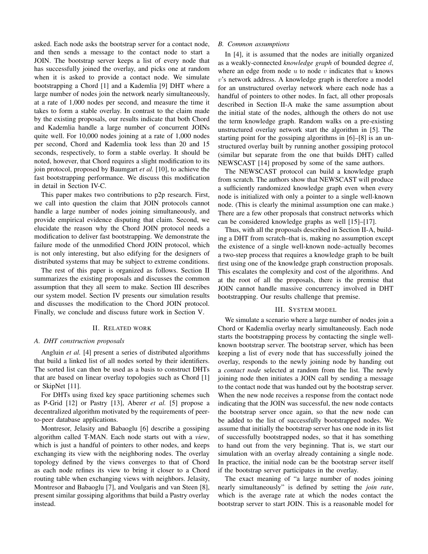asked. Each node asks the bootstrap server for a contact node, and then sends a message to the contact node to start a JOIN. The bootstrap server keeps a list of every node that has successfully joined the overlay, and picks one at random when it is asked to provide a contact node. We simulate bootstrapping a Chord [1] and a Kademlia [9] DHT where a large number of nodes join the network nearly simultaneously, at a rate of 1,000 nodes per second, and measure the time it takes to form a stable overlay. In contrast to the claim made by the existing proposals, our results indicate that both Chord and Kademlia handle a large number of concurrent JOINs quite well. For 10,000 nodes joining at a rate of 1,000 nodes per second, Chord and Kademlia took less than 20 and 15 seconds, respectively, to form a stable overlay. It should be noted, however, that Chord requires a slight modification to its join protocol, proposed by Baumgart *et al.* [10], to achieve the fast bootstrapping performance. We discuss this modification in detail in Section IV-C.

This paper makes two contributions to p2p research. First, we call into question the claim that JOIN protocols cannot handle a large number of nodes joining simultaneously, and provide empirical evidence disputing that claim. Second, we elucidate the reason why the Chord JOIN protocol needs a modification to deliver fast bootstrapping. We demonstrate the failure mode of the unmodified Chord JOIN protocol, which is not only interesting, but also edifying for the designers of distributed systems that may be subject to extreme conditions.

The rest of this paper is organized as follows. Section II summarizes the existing proposals and discusses the common assumption that they all seem to make. Section III describes our system model. Section IV presents our simulation results and discusses the modification to the Chord JOIN protocol. Finally, we conclude and discuss future work in Section V.

### II. RELATED WORK

#### *A. DHT construction proposals*

Angluin *et al.* [4] present a series of distributed algorithms that build a linked list of all nodes sorted by their identifiers. The sorted list can then be used as a basis to construct DHTs that are based on linear overlay topologies such as Chord [1] or SkipNet [11].

For DHTs using fixed key space partitioning schemes such as P-Grid [12] or Pastry [13], Aberer *et al.* [5] propose a decentralized algorithm motivated by the requirements of peerto-peer database applications.

Montresor, Jelasity and Babaoglu [6] describe a gossiping algorithm called T-MAN. Each node starts out with a *view*, which is just a handful of pointers to other nodes, and keeps exchanging its view with the neighboring nodes. The overlay topology defined by the views converges to that of Chord as each node refines its view to bring it closer to a Chord routing table when exchanging views with neighbors. Jelasity, Montresor and Babaoglu [7], and Voulgaris and van Steen [8], present similar gossiping algorithms that build a Pastry overlay instead.

# *B. Common assumptions*

In [4], it is assumed that the nodes are initially organized as a weakly-connected *knowledge graph* of bounded degree d, where an edge from node  $u$  to node  $v$  indicates that  $u$  knows  $v$ 's network address. A knowledge graph is therefore a model for an unstructured overlay network where each node has a handful of pointers to other nodes. In fact, all other proposals described in Section II-A make the same assumption about the initial state of the nodes, although the others do not use the term knowledge graph. Random walks on a pre-existing unstructured overlay network start the algorithm in [5]. The starting point for the gossiping algorithms in [6]–[8] is an unstructured overlay built by running another gossiping protocol (similar but separate from the one that builds DHT) called NEWSCAST [14] proposed by some of the same authors.

The NEWSCAST protocol can build a knowledge graph from scratch. The authors show that NEWSCAST will produce a sufficiently randomized knowledge graph even when every node is initialized with only a pointer to a single well-known node. (This is clearly the minimal assumption one can make.) There are a few other proposals that construct networks which can be considered knowledge graphs as well [15]–[17].

Thus, with all the proposals described in Section II-A, building a DHT from scratch–that is, making no assumption except the existence of a single well-known node–actually becomes a two-step process that requires a knowledge graph to be built first using one of the knowledge graph construction proposals. This escalates the complexity and cost of the algorithms. And at the root of all the proposals, there is the premise that JOIN cannot handle massive concurrency involved in DHT bootstrapping. Our results challenge that premise.

#### III. SYSTEM MODEL

We simulate a scenario where a large number of nodes join a Chord or Kademlia overlay nearly simultaneously. Each node starts the bootstrapping process by contacting the single wellknown bootstrap server. The bootstrap server, which has been keeping a list of every node that has successfully joined the overlay, responds to the newly joining node by handing out a *contact node* selected at random from the list. The newly joining node then initiates a JOIN call by sending a message to the contact node that was handed out by the bootstrap server. When the new node receives a response from the contact node indicating that the JOIN was successful, the new node contacts the bootstrap server once again, so that the new node can be added to the list of successfully bootstrapped nodes. We assume that initially the bootstrap server has one node in its list of successfully bootstrapped nodes, so that it has something to hand out from the very beginning. That is, we start our simulation with an overlay already containing a single node. In practice, the initial node can be the bootstrap server itself if the bootstrap server participates in the overlay.

The exact meaning of "a large number of nodes joining nearly simultaneously" is defined by setting the *join rate*, which is the average rate at which the nodes contact the bootstrap server to start JOIN. This is a reasonable model for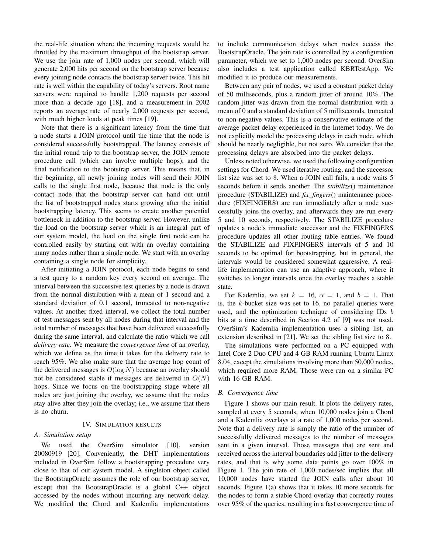the real-life situation where the incoming requests would be throttled by the maximum throughput of the bootstrap server. We use the join rate of 1,000 nodes per second, which will generate 2,000 hits per second on the bootstrap server because every joining node contacts the bootstrap server twice. This hit rate is well within the capability of today's servers. Root name servers were required to handle 1,200 requests per second more than a decade ago [18], and a measurement in 2002 reports an average rate of nearly 2,000 requests per second, with much higher loads at peak times [19].

Note that there is a significant latency from the time that a node starts a JOIN protocol until the time that the node is considered successfully bootstrapped. The latency consists of the initial round trip to the bootstrap server, the JOIN remote procedure call (which can involve multiple hops), and the final notification to the bootstrap server. This means that, in the beginning, all newly joining nodes will send their JOIN calls to the single first node, because that node is the only contact node that the bootstrap server can hand out until the list of bootstrapped nodes starts growing after the initial bootstrapping latency. This seems to create another potential bottleneck in addition to the bootstrap server. However, unlike the load on the bootstrap server which is an integral part of our system model, the load on the single first node can be controlled easily by starting out with an overlay containing many nodes rather than a single node. We start with an overlay containing a single node for simplicity.

After initiating a JOIN protocol, each node begins to send a test query to a random key every second on average. The interval between the successive test queries by a node is drawn from the normal distribution with a mean of 1 second and a standard deviation of 0.1 second, truncated to non-negative values. At another fixed interval, we collect the total number of test messages sent by all nodes during that interval and the total number of messages that have been delivered successfully during the same interval, and calculate the ratio which we call *delivery rate*. We measure the *convergence time* of an overlay, which we define as the time it takes for the delivery rate to reach 95%. We also make sure that the average hop count of the delivered messages is  $O(\log N)$  because an overlay should not be considered stable if messages are delivered in  $O(N)$ hops. Since we focus on the bootstrapping stage where all nodes are just joining the overlay, we assume that the nodes stay alive after they join the overlay; i.e., we assume that there is no churn.

#### IV. SIMULATION RESULTS

# *A. Simulation setup*

We used the OverSim simulator [10], version 20080919 [20]. Conveniently, the DHT implementations included in OverSim follow a bootstrapping procedure very close to that of our system model. A singleton object called the BootstrapOracle assumes the role of our bootstrap server, except that the BootstrapOracle is a global C++ object accessed by the nodes without incurring any network delay. We modified the Chord and Kademlia implementations to include communication delays when nodes access the BootstrapOracle. The join rate is controlled by a configuration parameter, which we set to 1,000 nodes per second. OverSim also includes a test application called KBRTestApp. We modified it to produce our measurements.

Between any pair of nodes, we used a constant packet delay of 50 milliseconds, plus a random jitter of around 10%. The random jitter was drawn from the normal distribution with a mean of 0 and a standard deviation of 5 milliseconds, truncated to non-negative values. This is a conservative estimate of the average packet delay experienced in the Internet today. We do not explicitly model the processing delays in each node, which should be nearly negligible, but not zero. We consider that the processing delays are absorbed into the packet delays.

Unless noted otherwise, we used the following configuration settings for Chord. We used iterative routing, and the successor list size was set to 8. When a JOIN call fails, a node waits 5 seconds before it sends another. The *stabilize*() maintenance procedure (STABILIZE) and *fix fingers*() maintenance procedure (FIXFINGERS) are run immediately after a node successfully joins the overlay, and afterwards they are run every 5 and 10 seconds, respectively. The STABILIZE procedure updates a node's immediate successor and the FIXFINGERS procedure updates all other routing table entries. We found the STABILIZE and FIXFINGERS intervals of 5 and 10 seconds to be optimal for bootstrapping, but in general, the intervals would be considered somewhat aggressive. A reallife implementation can use an adaptive approach, where it switches to longer intervals once the overlay reaches a stable state.

For Kademlia, we set  $k = 16$ ,  $\alpha = 1$ , and  $b = 1$ . That is, the  $k$ -bucket size was set to 16, no parallel queries were used, and the optimization technique of considering IDs b bits at a time described in Section 4.2 of [9] was not used. OverSim's Kademlia implementation uses a sibling list, an extension described in [21]. We set the sibling list size to 8.

The simulations were performed on a PC equipped with Intel Core 2 Duo CPU and 4 GB RAM running Ubuntu Linux 8.04, except the simulations involving more than 50,000 nodes, which required more RAM. Those were run on a similar PC with 16 GB RAM.

# *B. Convergence time*

Figure 1 shows our main result. It plots the delivery rates, sampled at every 5 seconds, when 10,000 nodes join a Chord and a Kademlia overlays at a rate of 1,000 nodes per second. Note that a delivery rate is simply the ratio of the number of successfully delivered messages to the number of messages sent in a given interval. Those messages that are sent and received across the interval boundaries add jitter to the delivery rates, and that is why some data points go over 100% in Figure 1. The join rate of 1,000 nodes/sec implies that all 10,000 nodes have started the JOIN calls after about 10 seconds. Figure 1(a) shows that it takes 10 more seconds for the nodes to form a stable Chord overlay that correctly routes over 95% of the queries, resulting in a fast convergence time of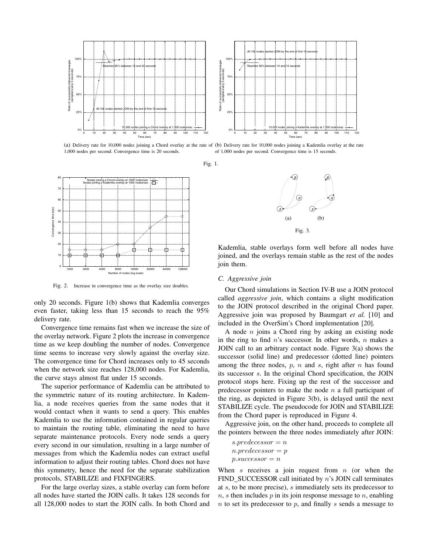

(a) Delivery rate for 10,000 nodes joining a Chord overlay at the rate of (b) Delivery rate for 10,000 nodes joining a Kademlia overlay at the rate 1,000 nodes per second. Convergence time is 20 seconds. of 1,000 nodes per second. Convergence time is 15 seconds.



Fig. 2. Increase in convergence time as the overlay size doubles.

only 20 seconds. Figure 1(b) shows that Kademlia converges even faster, taking less than 15 seconds to reach the 95% delivery rate.

Convergence time remains fast when we increase the size of the overlay network. Figure 2 plots the increase in convergence time as we keep doubling the number of nodes. Convergence time seems to increase very slowly against the overlay size. The convergence time for Chord increases only to 45 seconds when the network size reaches 128,000 nodes. For Kademlia, the curve stays almost flat under 15 seconds.

The superior performance of Kademlia can be attributed to the symmetric nature of its routing architecture. In Kademlia, a node receives queries from the same nodes that it would contact when it wants to send a query. This enables Kademlia to use the information contained in regular queries to maintain the routing table, eliminating the need to have separate maintenance protocols. Every node sends a query every second in our simulation, resulting in a large number of messages from which the Kademlia nodes can extract useful information to adjust their routing tables. Chord does not have this symmetry, hence the need for the separate stabilization protocols, STABILIZE and FIXFINGERS.

For the large overlay sizes, a stable overlay can form before all nodes have started the JOIN calls. It takes 128 seconds for all 128,000 nodes to start the JOIN calls. In both Chord and

Fig. 1.



Kademlia, stable overlays form well before all nodes have joined, and the overlays remain stable as the rest of the nodes join them.

#### *C. Aggressive join*

Our Chord simulations in Section IV-B use a JOIN protocol called *aggressive join*, which contains a slight modification to the JOIN protocol described in the original Chord paper. Aggressive join was proposed by Baumgart *et al.* [10] and included in the OverSim's Chord implementation [20].

A node  $n$  joins a Chord ring by asking an existing node in the ring to find  $n$ 's successor. In other words,  $n$  makes a JOIN call to an arbitrary contact node. Figure 3(a) shows the successor (solid line) and predecessor (dotted line) pointers among the three nodes,  $p$ ,  $n$  and  $s$ , right after  $n$  has found its successor s. In the original Chord specification, the JOIN protocol stops here. Fixing up the rest of the successor and predecessor pointers to make the node  $n$  a full participant of the ring, as depicted in Figure 3(b), is delayed until the next STABILIZE cycle. The pseudocode for JOIN and STABILIZE from the Chord paper is reproduced in Figure 4.

Aggressive join, on the other hand, proceeds to complete all the pointers between the three nodes immediately after JOIN:

$$
s.predecessary = n \newline n.predecessary = p \newline p.successor = n
$$

When s receives a join request from  $n$  (or when the  $FIND$  SUCCESSOR call initiated by  $n$ 's JOIN call terminates at s, to be more precise), s immediately sets its predecessor to  $n, s$  then includes  $p$  in its join response message to  $n$ , enabling  $n$  to set its predecessor to  $p$ , and finally  $s$  sends a message to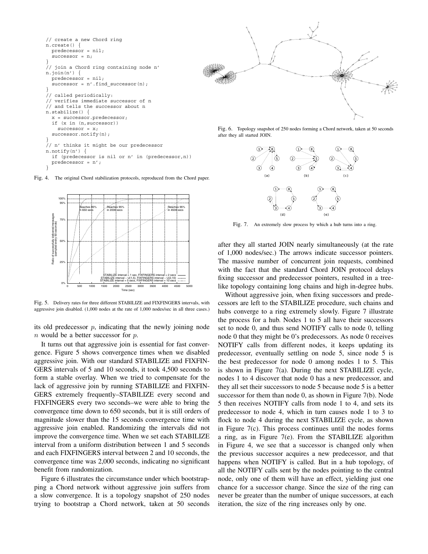```
// create a new Chord ring
n.create() {
  predecessor = nil;
  successor = n;
}
// join a Chord ring containing node n'
n.join(n') {
  predecessor = nil;
  successor = n'.find successor(n);
}
// called periodically:
// verifies immediate successor of n
// and tells the successor about n
n.stabilize() {
  x = successor.predecessor;
  if (x in (n,successor))
    successor = x;
  successor.notify(n);
}
// n' thinks it might be our predecessor
n.notify(n')if (predecessor is nil or n' in (predecessor,n))
 predecessor = n';
}
```




Fig. 5. Delivery rates for three different STABILIZE and FIXFINGERS intervals, with aggressive join disabled. (1,000 nodes at the rate of 1,000 nodes/sec in all three cases.)

its old predecessor  $p$ , indicating that the newly joining node  $n$  would be a better successor for  $p$ .

It turns out that aggressive join is essential for fast convergence. Figure 5 shows convergence times when we disabled aggressive join. With our standard STABILIZE and FIXFIN-GERS intervals of 5 and 10 seconds, it took 4,500 seconds to form a stable overlay. When we tried to compensate for the lack of aggressive join by running STABILIZE and FIXFIN-GERS extremely frequently–STABILIZE every second and FIXFINGERS every two seconds–we were able to bring the convergence time down to 650 seconds, but it is still orders of magnitude slower than the 15 seconds convergence time with aggressive join enabled. Randomizing the intervals did not improve the convergence time. When we set each STABILIZE interval from a uniform distribution between 1 and 5 seconds and each FIXFINGERS interval between 2 and 10 seconds, the convergence time was 2,000 seconds, indicating no significant benefit from randomization.

Figure 6 illustrates the circumstance under which bootstrapping a Chord network without aggressive join suffers from a slow convergence. It is a topology snapshot of 250 nodes trying to bootstrap a Chord network, taken at 50 seconds



Fig. 6. Topology snapshot of 250 nodes forming a Chord network, taken at 50 seconds after they all started JOIN.



Fig. 7. An extremely slow process by which a hub turns into a ring.

after they all started JOIN nearly simultaneously (at the rate of 1,000 nodes/sec.) The arrows indicate successor pointers. The massive number of concurrent join requests, combined with the fact that the standard Chord JOIN protocol delays fixing successor and predecessor pointers, resulted in a treelike topology containing long chains and high in-degree hubs.

Without aggressive join, when fixing successors and predecessors are left to the STABILIZE procedure, such chains and hubs converge to a ring extremely slowly. Figure 7 illustrate the process for a hub. Nodes 1 to 5 all have their successors set to node 0, and thus send NOTIFY calls to node 0, telling node 0 that they might be 0's predecessors. As node 0 receives NOTIFY calls from different nodes, it keeps updating its predecessor, eventually settling on node 5, since node 5 is the best predecessor for node 0 among nodes 1 to 5. This is shown in Figure 7(a). During the next STABILIZE cycle, nodes 1 to 4 discover that node 0 has a new predecessor, and they all set their successors to node 5 because node 5 is a better successor for them than node 0, as shown in Figure 7(b). Node 5 then receives NOTIFY calls from node 1 to 4, and sets its predecessor to node 4, which in turn causes node 1 to 3 to flock to node 4 during the next STABILIZE cycle, as shown in Figure 7(c). This process continues until the nodes forms a ring, as in Figure 7(e). From the STABILIZE algorithm in Figure 4, we see that a successor is changed only when the previous successor acquires a new predecessor, and that happens when NOTIFY is called. But in a hub topology, of all the NOTIFY calls sent by the nodes pointing to the central node, only one of them will have an effect, yielding just one chance for a successor change. Since the size of the ring can never be greater than the number of unique successors, at each iteration, the size of the ring increases only by one.